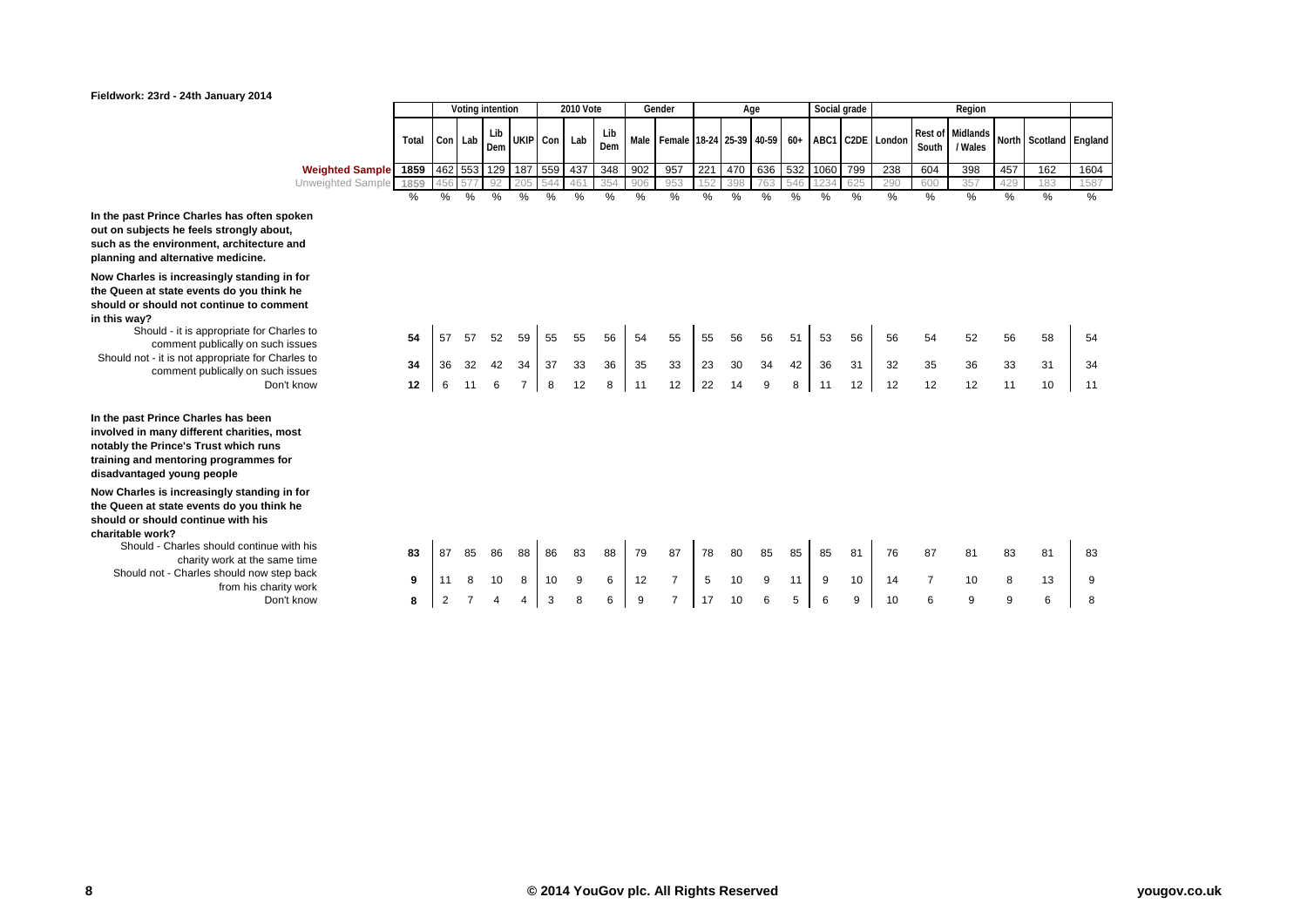|                                                                                                                                                     |       |         |    | Voting intention |                     |              | <b>2010 Vote</b> |            |      | Gender                                                             |     |               | Age |     | Social grade |     |     |                  | Region                                     |     |               |      |
|-----------------------------------------------------------------------------------------------------------------------------------------------------|-------|---------|----|------------------|---------------------|--------------|------------------|------------|------|--------------------------------------------------------------------|-----|---------------|-----|-----|--------------|-----|-----|------------------|--------------------------------------------|-----|---------------|------|
|                                                                                                                                                     | Total | Con Lab |    | Lib<br>Dem       |                     | UKIP Con Lab |                  | Lib<br>Dem |      | Male   Female   18-24   25-39   40-59   60+   ABC1   C2DE   London |     |               |     |     |              |     |     | Rest of<br>South | Midlands North Scotland England<br>/ Wales |     |               |      |
| <b>Weighted Sample</b>                                                                                                                              | 1859  |         |    |                  | 462 553 129 187 559 |              | 437              | 348        | 902  | 957                                                                | 221 | 470           | 636 | 532 | 1060 799     |     | 238 | 604              | 398                                        | 457 | 162           | 1604 |
| Unweighted Sample                                                                                                                                   | 1859  | 456     |    | 92               | 205                 |              | 461              | 354        | 906  | 953                                                                | 152 | 398           | 763 | 546 | 123          | 625 | 290 | 600              | 357                                        | 429 | 183           | 1587 |
|                                                                                                                                                     | %     | ℅       | %  | $\%$             | $\frac{0}{0}$       | %            | %                | %          | $\%$ | %                                                                  | %   | $\frac{0}{6}$ | %   | %   | %            | %   | %   | %                | %                                          | %   | $\frac{0}{0}$ | %    |
| Prince Charles has often spoken<br>ects he feels strongly about,<br>environment, architecture and<br>d alternative medicine.                        |       |         |    |                  |                     |              |                  |            |      |                                                                    |     |               |     |     |              |     |     |                  |                                            |     |               |      |
| s is increasingly standing in for<br>t state events do you think he<br>nould not continue to comment                                                |       |         |    |                  |                     |              |                  |            |      |                                                                    |     |               |     |     |              |     |     |                  |                                            |     |               |      |
| uld - it is appropriate for Charles to<br>comment publically on such issues                                                                         | 54    | 57      | 57 | 52               | 59                  | 55           | 55               | 56         | 54   | 55                                                                 | 55  | 56            | 56  | 51  | 53           | 56  | 56  | 54               | 52                                         | 56  | 58            | 54   |
| - it is not appropriate for Charles to                                                                                                              | 34    | 36      | 32 | 42               | 34                  | 37           | 33               | 36         | 35   | 33                                                                 | 23  | 30            | 34  | 42  | 36           | 31  | 32  | 35               | 36                                         | 33  | 31            | 34   |
| comment publically on such issues<br>Don't know                                                                                                     |       |         | 11 | 6                | $\overline{7}$      | 8            | 12               | 8          | 11   | 12                                                                 | 22  | 14            | 9   | 8   | 11           | 12  | 12  | 12               | 12                                         | 11  | 10            | 11   |
|                                                                                                                                                     | 12    | 6       |    |                  |                     |              |                  |            |      |                                                                    |     |               |     |     |              |     |     |                  |                                            |     |               |      |
| <b>Prince Charles has been</b><br>many different charities, most<br><b>Prince's Trust which runs</b><br>mentoring programmes for<br>ed young people |       |         |    |                  |                     |              |                  |            |      |                                                                    |     |               |     |     |              |     |     |                  |                                            |     |               |      |
| s is increasingly standing in for<br>t state events do you think he<br><b>nould continue with his</b><br>ork?                                       |       |         |    |                  |                     |              |                  |            |      |                                                                    |     |               |     |     |              |     |     |                  |                                            |     |               |      |
| I - Charles should continue with his<br>charity work at the same time                                                                               | 83    | 87      | 85 | 86               | 88                  | 86           | 83               | 88         | 79   | 87                                                                 | 78  | 80            | 85  | 85  | 85           | 81  | 76  | 87               | 81                                         | 83  | 81            | 83   |
| not - Charles should now step back                                                                                                                  | 9     |         | 8  | 10               | 8                   | 10           | 9                | 6          | 12   | $\overline{7}$                                                     | 5   | 10            | 9   | 11  | 9            | 10  | 14  | $\overline{7}$   | 10                                         | 8   | 13            | 9    |
| from his charity work<br>Don't know                                                                                                                 | 8     |         |    |                  | 4                   | 3            | 8                | 6          | 9    | $\overline{7}$                                                     | 17  | 10            | 6   | 5   | 6            | 9   | 10  | 6                | 9                                          | 9   | 6             | 8    |
|                                                                                                                                                     |       |         |    |                  |                     |              |                  |            |      |                                                                    |     |               |     |     |              |     |     |                  |                                            |     |               |      |

**In the past Prince Charles has o** out on subjects he feels strongly such as the environment, archite **planning and alternative medicine.**

**Now Charles is increasingly star the Queen at state events do you think he**  should or should not continue to **in this way?**

Should - it is appropriate<br>comment publically of Should not - it is not appropriate<br>comment publically on

**In the past Prince Charles has b** involved in many different charit **notably the Prince's Trust which runs**  training and mentoring program **disadvantaged young people**

**Now Charles is increasingly star the Queen at state events do you think he**  should or should continue with **charitable work?**

> Should - Charles should continue Should not - Charles should not<br>from his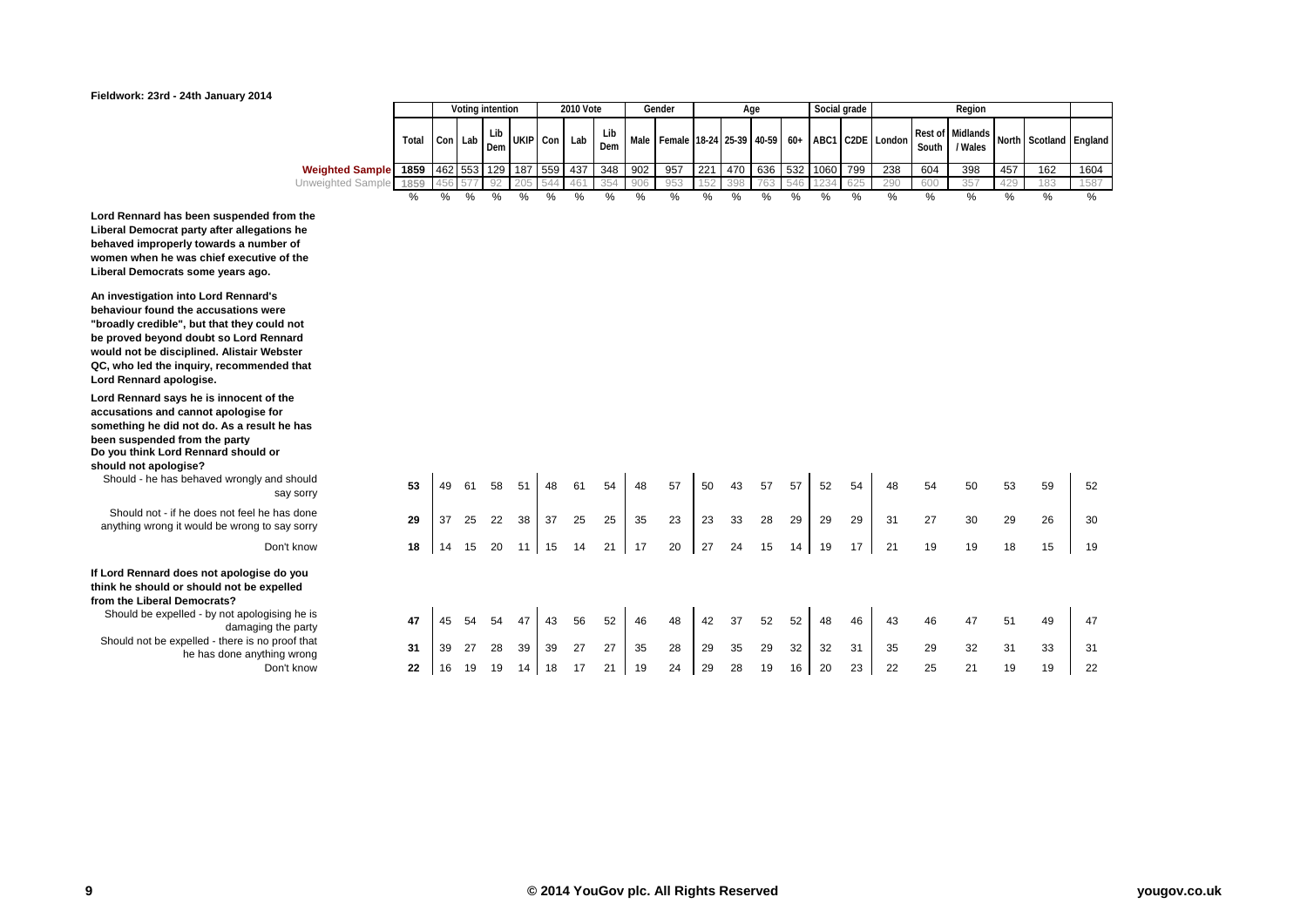# **You Gov** What the world thinks

### **Fieldwork: 23rd - 24th January 2014**

|                        |       |             |                                                                        | Voting intention |      |     | <b>2010 Vote</b> |            |     | Gender        |     |     | Age  |     |                  | Social grade |                                                                        |       | Reaion  |     |                                                        |      |
|------------------------|-------|-------------|------------------------------------------------------------------------|------------------|------|-----|------------------|------------|-----|---------------|-----|-----|------|-----|------------------|--------------|------------------------------------------------------------------------|-------|---------|-----|--------------------------------------------------------|------|
|                        | Total |             | Lib<br><b>UKIP</b><br>Con Lab<br>Con<br>Dem<br>462 553 129 187 559 437 |                  |      |     | Lab              | Lib<br>Dem |     |               |     |     |      |     |                  |              | Male   Female   18-24   25-39   40-59   60+   ABC1   C2DE   London   1 | South | / Wales |     | ndon   Rest of   Midlands   North   Scotland   England |      |
| <b>Weighted Sample</b> | 1859  |             |                                                                        |                  |      |     |                  | 348        | 902 | 957           | 221 |     |      |     | 470 636 532 1060 | . 799        | 238                                                                    | 604   | 398     | 457 | 162                                                    | 1604 |
| Unweighted Sample      | 1859  | $. 456$ 577 |                                                                        | 92               | つのち  | 544 | 461              | 354        | 906 | 953           | 152 | 398 | 763  | 546 |                  | 625          | 290                                                                    | 600   | 357     | 429 | 183                                                    | 1587 |
|                        | %     | %           | $\%$                                                                   |                  | $\%$ |     | $\%$             | $\%$       | %   | $\frac{0}{6}$ | %   | %   | $\%$ | %   | %                | %            |                                                                        | %     | %       | %   | $\%$                                                   | %    |

**Lord Rennard has been suspended from the Liberal Democrat party after allegations he behaved improperly towards a number of women when he was chief executive of the Liberal Democrats some years ago.**

**An investigation into Lord Rennard's behaviour found the accusations were "broadly credible", but that they could not be proved beyond doubt so Lord Rennard would not be disciplined. Alistair Webster QC, who led the inquiry, recommended that Lord Rennard apologise.**

**Lord Rennard says he is innocent of the accusations and cannot apologise for something he did not do. As a result he has been suspended from the party Do you think Lord Rennard should or should not apologise?**

Should - he has behaved wrongly and should say sorry

Should not - if he does not feel he has done anything wrong it would be wrong to say sorry

#### **If Lord Rennard does not apologise do you think he should or should not be expelled from the Liberal Democrats?**

Should be expelled - by not apologising he is Should not be expelled - there is no proof that he has done anything wrong<br>Don't know

| wrongly and should<br>say sorry            | 53 | 49 | 61 | 58 | 51 | 48 | 61 | 54 | 48 | 57 | 50 | 43 | 57 | 57 | 52 | 54 | 48 | 54 | 50 | 53 | 59 | 52 |
|--------------------------------------------|----|----|----|----|----|----|----|----|----|----|----|----|----|----|----|----|----|----|----|----|----|----|
| ot feel he has done<br>wrong to say sorry  | 29 | 37 | 25 | 22 | 38 | 37 | 25 | 25 | 35 | 23 | 23 | 33 | 28 | 29 | 29 | 29 | 31 | 27 | 30 | 29 | 26 | 30 |
| Don't know                                 | 18 | 14 | 15 | 20 | 11 | 15 | 14 | 21 | 17 | 20 | 27 | 24 | 15 | 14 | 19 | 17 | 21 | 19 | 19 | 18 | 15 | 19 |
| pologise do you<br>not be expelled<br>s?   |    |    |    |    |    |    |    |    |    |    |    |    |    |    |    |    |    |    |    |    |    |    |
| ot apologising he is<br>damaging the party | 47 | 45 | 54 | 54 | 47 | 43 | 56 | 52 | 46 | 48 | 42 | 37 | 52 | 52 | 48 | 46 | 43 | 46 | 47 | 51 | 49 | 47 |
| ere is no proof that<br>one anything wrong | 31 | 39 | 27 | 28 | 39 | 39 | 27 | 27 | 35 | 28 | 29 | 35 | 29 | 32 | 32 | 31 | 35 | 29 | 32 | 31 | 33 | 31 |
| Don't know                                 | 22 | 16 | 19 | 19 | 14 | 18 | 17 | 21 | 19 | 24 | 29 | 28 | 19 | 16 | 20 | 23 | 22 | 25 | 21 | 19 | 19 | 22 |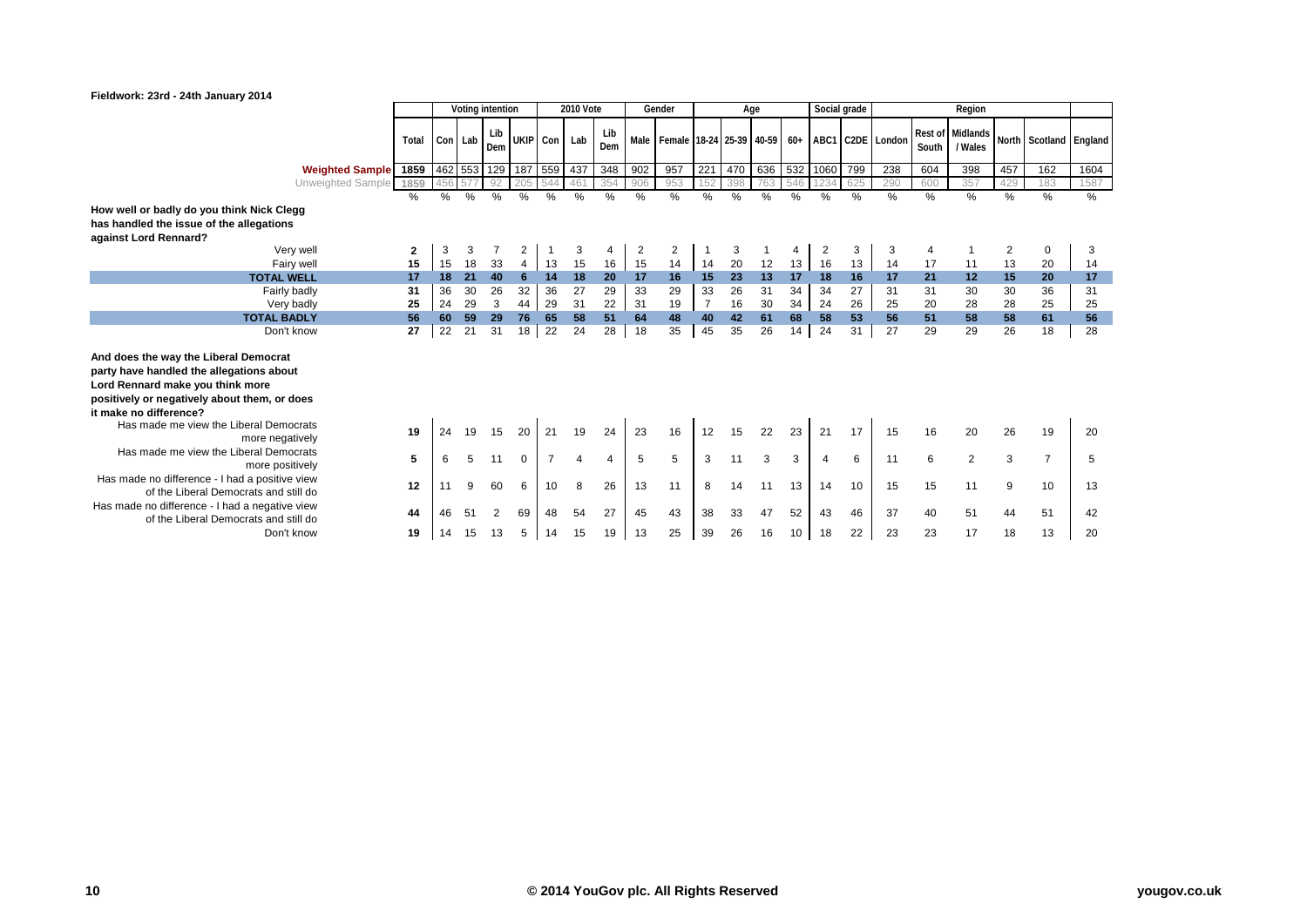

|                                                                                                                                                                                                 |          |          |          | Voting intention |                     |          | <b>2010 Vote</b> |                |               | Gender                                                             |                | Age      |                 |          | Social grade |          |          |               | Region                      |          |                        |          |
|-------------------------------------------------------------------------------------------------------------------------------------------------------------------------------------------------|----------|----------|----------|------------------|---------------------|----------|------------------|----------------|---------------|--------------------------------------------------------------------|----------------|----------|-----------------|----------|--------------|----------|----------|---------------|-----------------------------|----------|------------------------|----------|
|                                                                                                                                                                                                 | Total    |          | Con Lab  | Lib<br>Dem       | UKIP Con Lab        |          |                  | Lib<br>Dem     |               | Male   Female   18-24   25-39   40-59   60+   ABC1   C2DE   London |                |          |                 |          |              |          |          | South         | Rest of Midlands<br>/ Wales |          | North Scotland England |          |
| Weighted Sample 1859                                                                                                                                                                            |          |          |          |                  | 462 553 129 187 559 |          | 437              | 348            | 902           | 957                                                                | 221            | 470      | 636             |          | 532 1060     | 799      | 238      | 604           | 398                         | 457      | 162                    | 1604     |
| Unweighted Sample 1859                                                                                                                                                                          |          |          |          | -92              |                     | 544      | 461              | 354            | 906           | 953                                                                | 152            | 398      | 763             | 546      | 234          | 625      | 290      | 600           | 357                         | 429      | 183                    | 1587     |
|                                                                                                                                                                                                 | %        | $\%$     | %        | %                | %                   | %        | %                | %              | $\frac{0}{0}$ | %                                                                  | %              | %        | $\overline{\%}$ | %        | %            | %        | %        | $\frac{9}{6}$ | $\%$                        | %        | %                      | %        |
| How well or badly do you think Nick Clegg                                                                                                                                                       |          |          |          |                  |                     |          |                  |                |               |                                                                    |                |          |                 |          |              |          |          |               |                             |          |                        |          |
| has handled the issue of the allegations                                                                                                                                                        |          |          |          |                  |                     |          |                  |                |               |                                                                    |                |          |                 |          |              |          |          |               |                             |          |                        |          |
| against Lord Rennard?                                                                                                                                                                           |          |          |          |                  |                     |          |                  |                |               |                                                                    |                |          |                 |          |              |          |          |               |                             |          |                        |          |
| Very well                                                                                                                                                                                       | 2        | 3        | 3        |                  | 2                   |          | 3                |                | 2             | 2                                                                  |                | 3        |                 |          | 2            | 3        | 3        | 4             |                             | 2        | 0                      | 3        |
| Fairy well<br><b>TOTAL WELL</b>                                                                                                                                                                 | 15<br>17 | 15<br>18 | 18<br>21 | 33<br>40         | 6                   | 13<br>14 | 15<br>18         | 16<br>20       | 15<br>17      | 14<br>16                                                           | 14<br>15       | 20<br>23 | 12<br>13        | 13<br>17 | 16<br>18     | 13<br>16 | 14<br>17 | 17<br>21      | 11<br>12                    | 13<br>15 | 20<br>20               | 14<br>17 |
| Fairly badly                                                                                                                                                                                    | 31       | 36       | 30       | 26               | 32                  | 36       | 27               | 29             | 33            | 29                                                                 | 33             | 26       | 31              | 34       | 34           | 27       | 31       | 31            | 30                          | 30       | 36                     | 31       |
| Very badly                                                                                                                                                                                      | 25       | 24       | 29       | 3                | 44                  | 29       | 31               | 22             | 31            | 19                                                                 | $\overline{7}$ | 16       | 30              | 34       | 24           | 26       | 25       | 20            | 28                          | 28       | 25                     | 25       |
| <b>TOTAL BADLY</b>                                                                                                                                                                              | 56       | 60       | 59       | 29               | 76                  | 65       | 58               | 51             | 64            | 48                                                                 | 40             | 42       | 61              | 68       | 58           | 53       | 56       | 51            | 58                          | 58       | 61                     | 56       |
| Don't know                                                                                                                                                                                      | 27       | 22       | 21       | 31               | 18 <sup>1</sup>     | 22       | 24               | 28             | 18            | 35                                                                 | 45             | 35       | 26              | 14       | 24           | 31       | 27       | 29            | 29                          | 26       | 18                     | 28       |
| And does the way the Liberal Democrat<br>party have handled the allegations about<br>Lord Rennard make you think more<br>positively or negatively about them, or does<br>it make no difference? |          |          |          |                  |                     |          |                  |                |               |                                                                    |                |          |                 |          |              |          |          |               |                             |          |                        |          |
| Has made me view the Liberal Democrats<br>more negatively                                                                                                                                       | 19       | 24       | 19       | 15               | 20                  | 21       | 19               | 24             | 23            | 16                                                                 | 12             | 15       | 22              | 23       | 21           | 17       | 15       | 16            | 20                          | 26       | 19                     | 20       |
| Has made me view the Liberal Democrats<br>more positively                                                                                                                                       | 5        |          |          | 11               | $\Omega$            |          |                  | $\overline{4}$ | 5             | 5                                                                  | 3              | 11       | 3               | 3        | 4            | 6        | 11       | 6             | $\overline{2}$              | 3        | $\overline{7}$         | 5        |
| Has made no difference - I had a positive view<br>of the Liberal Democrats and still do                                                                                                         | 12       |          |          | 60               | 6                   | 10       | 8                | 26             | 13            | 11                                                                 | 8              | 14       | 11              | 13       | 14           | 10       | 15       | 15            | 11                          | 9        | 10                     | 13       |
| Has made no difference - I had a negative view<br>of the Liberal Democrats and still do                                                                                                         | 44       |          | 51       | 2                | 69                  | 48       | 54               | 27             | 45            | 43                                                                 | 38             | 33       | 47              | 52       | 43           | 46       | 37       | 40            | 51                          | 44       | 51                     | 42       |
| Don't know                                                                                                                                                                                      | 19       | 14       | 15       | 13               | 5                   | 14       | 15               | 19             | 13            | 25                                                                 | 39             | 26       | 16              | 10       | 18           | 22       | 23       | 23            | 17                          | 18       | 13                     | 20       |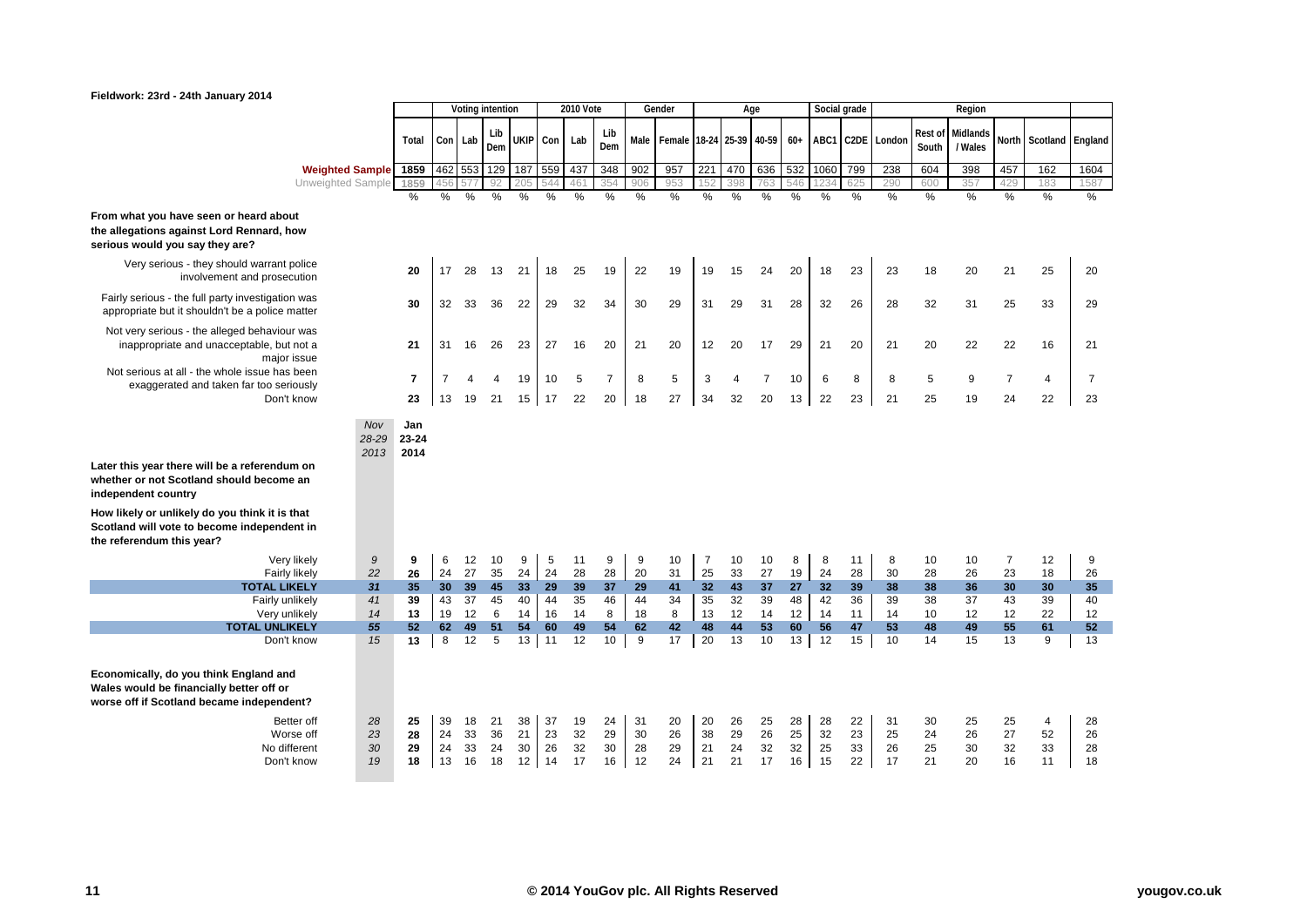

|                                                                                                                                                                                                                                                                        |                      |                       |          | Voting intention |          |          | <b>2010 Vote</b> |                |               | Gender                   |                |                | Age            |               | Social grade |          |             |                  | Region              |                |                  |                |
|------------------------------------------------------------------------------------------------------------------------------------------------------------------------------------------------------------------------------------------------------------------------|----------------------|-----------------------|----------|------------------|----------|----------|------------------|----------------|---------------|--------------------------|----------------|----------------|----------------|---------------|--------------|----------|-------------|------------------|---------------------|----------------|------------------|----------------|
|                                                                                                                                                                                                                                                                        | Total                | Con Lab               |          | Lib<br>Dem       | UKIP Con |          | Lab              | Lib<br>Dem     | Male          | Female 18-24 25-39 40-59 |                |                |                | $60+$         | ABC1         |          | C2DE London | Rest of<br>South | Midlands<br>/ Wales | North          | Scotland England |                |
| <b>Weighted Sample</b>                                                                                                                                                                                                                                                 | 1859 462 553 129 187 |                       |          |                  |          | 559      | 437              | 348            | 902           | 957                      | 221            | 470            | 636            | 532           | 1060 799     |          | 238         | 604              | 398                 | 457            | 162              | 1604           |
| Unweighted Sample                                                                                                                                                                                                                                                      | 1859                 |                       |          | 92               |          |          | 46 <sup>°</sup>  | 354            | 906           | 953                      | 152            | 398            | 763            | 546           |              | 625      | 290         | 600              | 357                 | 429            | 183              | 1587           |
|                                                                                                                                                                                                                                                                        | %                    | %                     | %        | %                | %        | %        | $\frac{0}{6}$    | %              | $\frac{0}{6}$ | $\frac{0}{6}$            | %              | %              | $\frac{0}{2}$  | $\frac{0}{6}$ | %            | %        | %           | $\frac{0}{0}$    | $\frac{0}{6}$       | $\frac{0}{0}$  | $\%$             | %              |
| From what you have seen or heard about<br>the allegations against Lord Rennard, how<br>serious would you say they are?                                                                                                                                                 |                      |                       |          |                  |          |          |                  |                |               |                          |                |                |                |               |              |          |             |                  |                     |                |                  |                |
| Very serious - they should warrant police<br>involvement and prosecution                                                                                                                                                                                               | 20                   | 17                    | 28       | 13               | 21       | 18       | 25               | 19             | 22            | 19                       | 19             | 15             | 24             | 20            | 18           | 23       | 23          | 18               | 20                  | 21             | 25               | 20             |
| Fairly serious - the full party investigation was<br>appropriate but it shouldn't be a police matter                                                                                                                                                                   | 30                   | 32                    | 33       | 36               | 22       | 29       | 32               | 34             | 30            | 29                       | 31             | 29             | 31             | 28            | 32           | 26       | 28          | 32               | 31                  | 25             | 33               | 29             |
| Not very serious - the alleged behaviour was<br>inappropriate and unacceptable, but not a<br>major issue                                                                                                                                                               | 21                   | 31                    | 16       | 26               | 23       | 27       | 16               | 20             | 21            | 20                       | 12             | 20             | 17             | 29            | 21           | 20       | 21          | 20               | 22                  | 22             | 16               | 21             |
| Not serious at all - the whole issue has been<br>exaggerated and taken far too seriously                                                                                                                                                                               | $\overline{7}$       | $\overline{7}$        |          | 4                | 19       | 10       | 5                | $\overline{7}$ | 8             | 5                        | 3              | $\overline{4}$ | $\overline{7}$ | 10            | 6            | 8        | 8           | 5                | 9                   | $\overline{7}$ | 4                | $\overline{7}$ |
| Don't know                                                                                                                                                                                                                                                             | 23                   | 13                    | 19       | 21               | 15       | 17       | 22               | 20             | 18            | 27                       | 34             | 32             | 20             | 13            | 22           | 23       | 21          | 25               | 19                  | 24             | 22               | 23             |
| Nov<br>28-29<br>2013<br>Later this year there will be a referendum on<br>whether or not Scotland should become an<br>independent country<br>How likely or unlikely do you think it is that<br>Scotland will vote to become independent in<br>the referendum this year? | Jan<br>23-24<br>2014 |                       |          |                  |          |          |                  |                |               |                          |                |                |                |               |              |          |             |                  |                     |                |                  |                |
| 9<br>Very likely                                                                                                                                                                                                                                                       | 9                    | 6                     | 12       | 10               | 9        | 5        | 11               | 9              | 9             | 10                       | $\overline{7}$ | 10             | 10             | 8             | 8            | 11       | 8           | 10               | 10                  | $\overline{7}$ | 12               | 9              |
| 22<br>Fairly likely                                                                                                                                                                                                                                                    | 26                   | 24                    | 27       | 35               | 24       | 24       | 28               | 28             | 20            | 31                       | 25             | 33             | 27             | 19            | 24           | 28       | 30          | 28               | 26                  | 23             | 18               | 26             |
| <b>TOTAL LIKELY</b><br>31                                                                                                                                                                                                                                              | 35<br>39             | 30 <sub>2</sub><br>43 | 39<br>37 | 45<br>45         | 33<br>40 | 29<br>44 | 39<br>35         | 37             | 29            | 41                       | 32<br>35       | 43<br>32       | 37<br>39       | 27<br>48      | 32<br>42     | 39<br>36 | 38          | 38               | 36                  | 30             | 30<br>39         | 35             |
| Fairly unlikely<br>41<br>14<br>Very unlikely                                                                                                                                                                                                                           | 13                   | 19                    | 12       | 6                | 14       | 16       | 14               | 46<br>8        | 44<br>18      | 34<br>8                  | 13             | 12             | 14             | 12            | 14           | 11       | 39<br>14    | 38<br>10         | 37<br>12            | 43<br>12       | 22               | 40<br>12       |
| <b>TOTAL UNLIKELY</b><br>55                                                                                                                                                                                                                                            | 52                   | 62                    | 49       | 51               | 54       | 60       | 49               | 54             | 62            | 42                       | 48             | 44             | 53             | 60            | 56           | 47       | 53          | 48               | 49                  | 55             | 61               | 52             |
| 15<br>Don't know                                                                                                                                                                                                                                                       | 13                   | 8                     | 12       | 5                | $13$ 11  |          | 12               | 10             | 9             | 17                       | 20             | 13             | 10             | 13            | 12           | 15       | 10          | 14               | 15                  | 13             | 9                | 13             |
| Economically, do you think England and<br>Wales would be financially better off or<br>worse off if Scotland became independent?                                                                                                                                        |                      |                       |          |                  |          |          |                  |                |               |                          |                |                |                |               |              |          |             |                  |                     |                |                  |                |
| Better off<br>28                                                                                                                                                                                                                                                       | 25                   | 39                    | 18       | 21               | 38       | 37       | 19               | 24             | 31            | 20                       | 20             | 26             | 25             | 28            | 28           | 22       | 31          | 30               | 25                  | 25             | $\overline{4}$   | 28             |
| 23<br>Worse off                                                                                                                                                                                                                                                        | 28                   | 24                    | 33       | 36               | 21       | 23       | 32               | 29             | 30            | 26                       | 38             | 29             | 26             | 25            | 32           | 23       | 25          | 24               | 26                  | 27             | 52               | 26             |
| 30<br>No different<br>19<br>Don't know                                                                                                                                                                                                                                 | 29<br>18             | 24<br>13              | 33<br>16 | 24<br>18         | 30<br>12 | 26<br>14 | 32<br>17         | 30<br>16       | 28<br>12      | 29<br>24                 | 21<br>21       | 24<br>21       | 32<br>17       | 32<br>16      | 25<br>15     | 33<br>22 | 26<br>17    | 25<br>21         | 30<br>20            | 32<br>16       | 33<br>11         | 28<br>18       |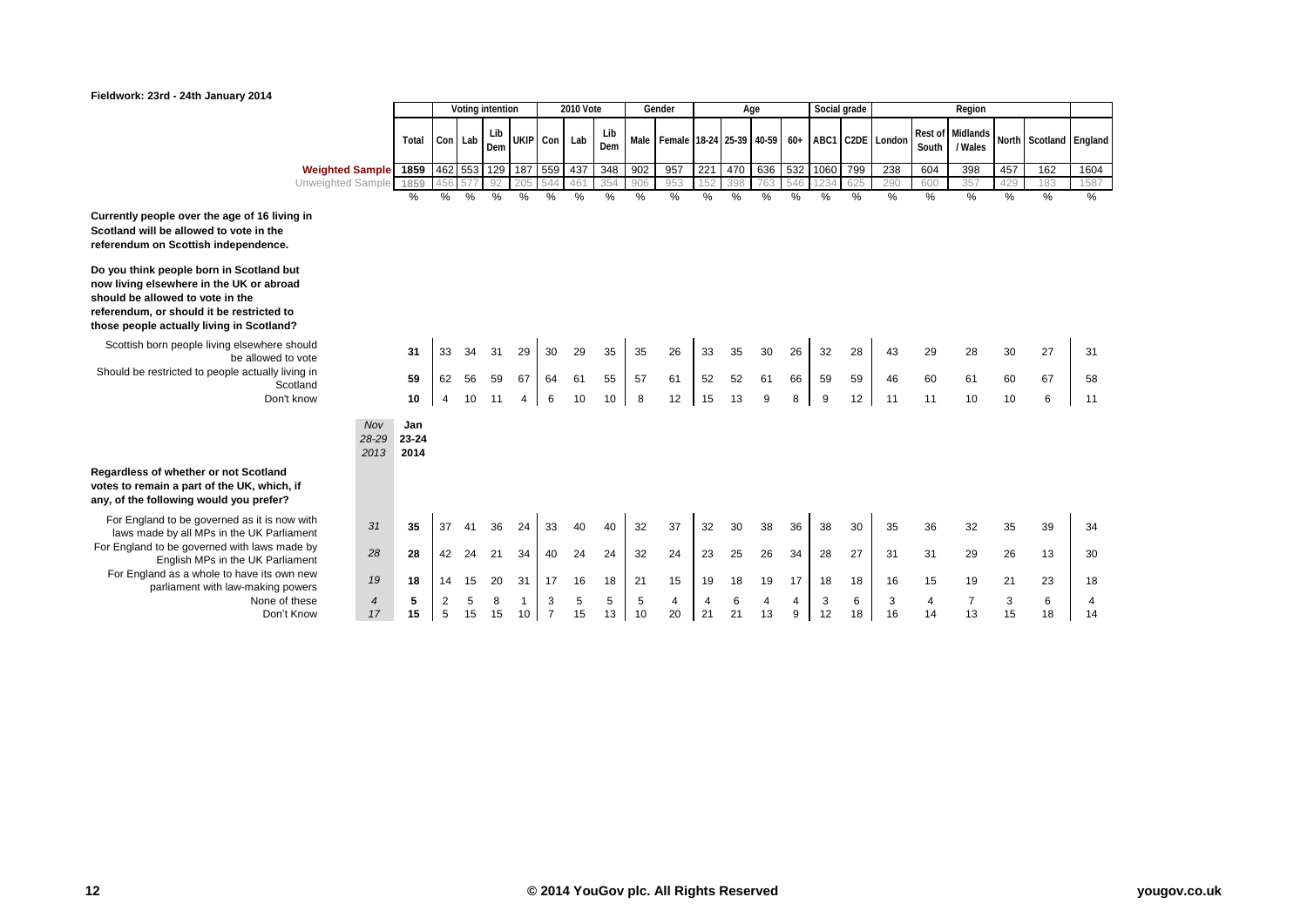## YouGov What the world thinks

### **Fieldwork: 23rd - 24th January 2014**

|                                                                               |                      |                      |                |             | Voting intention |         |                     | <b>2010 Vote</b> |            |         | Gender                   |         |         | Age     |        | Social grade |         |                  |                         | Region               |               |                |               |
|-------------------------------------------------------------------------------|----------------------|----------------------|----------------|-------------|------------------|---------|---------------------|------------------|------------|---------|--------------------------|---------|---------|---------|--------|--------------|---------|------------------|-------------------------|----------------------|---------------|----------------|---------------|
|                                                                               |                      | Total                |                | Con Lab     | Lib<br>Dem       |         | UKIP Con Lab        |                  | Lib<br>Dem | Male    | Female 18-24 25-39 40-59 |         |         |         | $60+$  |              |         | ABC1 C2DE London | <b>Rest of</b><br>South | Midlands<br>/ Wales  |               | North Scotland | England       |
| <b>Weighted Sample</b>                                                        |                      | 1859                 |                | 462 553 129 |                  |         | 187 559             | 437              | 348        | 902     | 957                      | 221     | 470     | 636     | 532    | 1060         | 799     | 238              | 604                     | 398                  | 457           | 162            | 1604          |
| Unweighted Sample                                                             |                      | 1859                 | 456            | 577         | 92               | 205     | 544                 | 46 <sup>°</sup>  | 354        | 906     | 953                      | 152     | 398     | 763     | 546    | 1234         | 625     | 290              | 600                     | 357                  | 429           | 183            | 1587          |
|                                                                               |                      | %                    | %              | %           | %                | %       | $\%$                | %                | %          | $\%$    | %                        | %       | %       | %       | $\%$   | %            | %       | %                | %                       | %                    | $\frac{0}{6}$ | $\frac{0}{0}$  | $\frac{0}{0}$ |
| ge of 16 living in<br>vote in the<br>ependence.                               |                      |                      |                |             |                  |         |                     |                  |            |         |                          |         |         |         |        |              |         |                  |                         |                      |               |                |               |
| <b>Scotland but</b><br>UK or abroad<br>າ the<br>restricted to<br>in Scotland? |                      |                      |                |             |                  |         |                     |                  |            |         |                          |         |         |         |        |              |         |                  |                         |                      |               |                |               |
| elsewhere should<br>be allowed to vote                                        |                      | 31                   | 33             | 34          | 31               | 29      | 30                  | 29               | 35         | 35      | 26                       | 33      | 35      | 30      | 26     | 32           | 28      | 43               | 29                      | 28                   | 30            | 27             | 31            |
| le actually living in<br>Scotland                                             |                      | 59                   | 62             | 56          | 59               | 67      | 64                  | 61               | 55         | 57      | 61                       | 52      | 52      | 61      | 66     | 59           | 59      | 46               | 60                      | 61                   | 60            | 67             | 58            |
| Don't know                                                                    |                      | 10                   | $\overline{4}$ | 10          | 11               | 4       | 6                   | 10               | 10         | 8       | 12                       | 15      | 13      | 9       | 8      | 9            | 12      | 11               | 11                      | 10                   | 10            | 6              | 11            |
|                                                                               | Nov<br>28-29<br>2013 | Jan<br>23-24<br>2014 |                |             |                  |         |                     |                  |            |         |                          |         |         |         |        |              |         |                  |                         |                      |               |                |               |
| ot Scotland<br><b>UK, which, if</b><br>you prefer?                            |                      |                      |                |             |                  |         |                     |                  |            |         |                          |         |         |         |        |              |         |                  |                         |                      |               |                |               |
| ed as it is now with<br>the UK Parliament                                     | 31                   | 35                   | 37             | 4           | 36               | 24      | 33                  | 40               | 40         | 32      | 37                       | 32      | 30      | 38      | 36     | 38           | 30      | 35               | 36                      | 32                   | 35            | 39             | 34            |
| with laws made by<br>the UK Parliament                                        | 28                   | 28                   | 42             | 24          | 21               | 34      | 40                  | 24               | 24         | 32      | 24                       | 23      | 25      | 26      | 34     | 28           | 27      | 31               | 31                      | 29                   | 26            | 13             | 30            |
| have its own new<br>aw-making powers                                          | 19                   | 18                   | 14             | 15          | 20               | 31      | 17                  | 16               | 18         | 21      | 15                       | 19      | 18      | 19      | 17     | 18           | 18      | 16               | 15                      | 19                   | 21            | 23             | 18            |
| None of these<br>Don't Know                                                   | $\overline{4}$<br>17 | 5<br>15              | 2<br>5         | 5<br>15     | 8<br>15          | 1<br>10 | 3<br>$\overline{7}$ | 5<br>15          | 5<br>13    | 5<br>10 | 4<br>20                  | 4<br>21 | 6<br>21 | 4<br>13 | 4<br>9 | 3<br>12      | 6<br>18 | 3<br>16          | 4<br>14                 | $\overline{7}$<br>13 | 3<br>15       | 6<br>18        | 4<br>14       |

**Currently people over the age of 16 living in Scotland will be allowed to vote in the referendum on Scottish independence.**

**Do you think people born in Scotland but now living elsewhere in the UK or abroad should be allowed to vote in the referendum, or should it be restricted to those people actually living in Scotland?**

Scottish born people living elsewhere should<br>be allowed to vote Should be restricted to people actually living in

## **Regardless of whether or not Scotland votes to remain a part of the UK, which, if any, of the following would you prefer?**

For England to be governed as it is now with laws made by all MPs in the UK Parliament For England to be governed with laws made by **English MPs in the UK Parliament** For England as a whole to have its own new parliament with law-making powers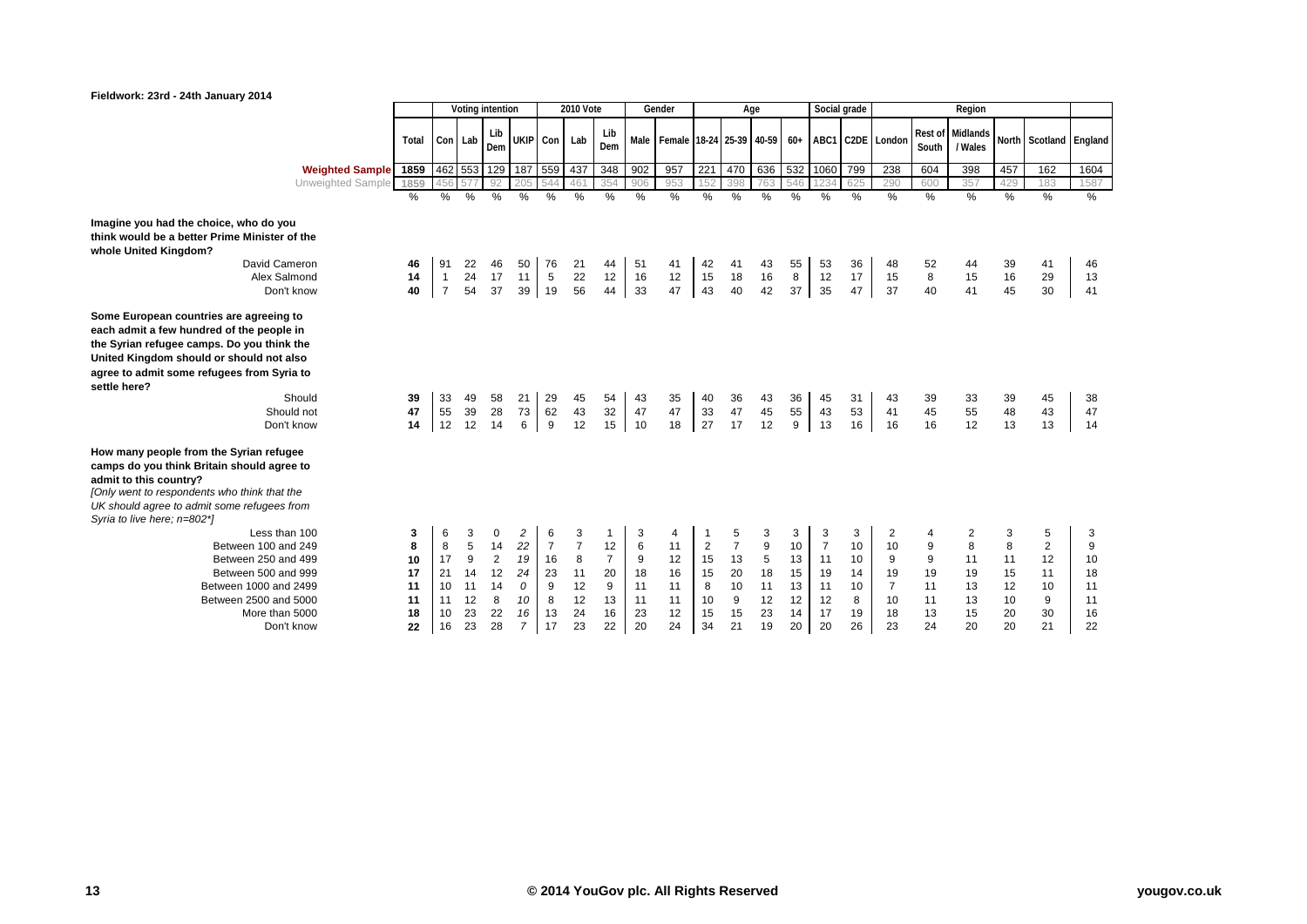

|                                                                                                                                                                                                                                                                                    |                                            |                                            |                                           | Voting intention                                       |                                                        |                                                       | 2010 Vote                                              |                                                   |                                           | Gender                                      |                                                   |                                                        | Age                                                |                                             | Social grade                                            |                                            |                                                        |                                      | Region                                     |                                            |                                                        |                                            |
|------------------------------------------------------------------------------------------------------------------------------------------------------------------------------------------------------------------------------------------------------------------------------------|--------------------------------------------|--------------------------------------------|-------------------------------------------|--------------------------------------------------------|--------------------------------------------------------|-------------------------------------------------------|--------------------------------------------------------|---------------------------------------------------|-------------------------------------------|---------------------------------------------|---------------------------------------------------|--------------------------------------------------------|----------------------------------------------------|---------------------------------------------|---------------------------------------------------------|--------------------------------------------|--------------------------------------------------------|--------------------------------------|--------------------------------------------|--------------------------------------------|--------------------------------------------------------|--------------------------------------------|
|                                                                                                                                                                                                                                                                                    | Total                                      |                                            | Con Lab                                   | Lib<br>Dem                                             | UKIP Con                                               |                                                       | Lab                                                    | Lib<br>Dem                                        |                                           | Male Female 18-24 25-39 40-59 60+           |                                                   |                                                        |                                                    |                                             |                                                         |                                            | ABC1 C2DE London                                       | Rest of<br>South                     | Midlands<br>/ Wales                        |                                            | North Scotland England                                 |                                            |
| <b>Weighted Sample</b>                                                                                                                                                                                                                                                             | 1859                                       |                                            |                                           | 462 553 129 187                                        |                                                        | 559 437                                               |                                                        | 348                                               | 902                                       | 957                                         | 221                                               | 470                                                    | 636                                                |                                             | 532 1060                                                | 799                                        | 238                                                    | 604                                  | 398                                        | 457                                        | 162                                                    | 1604                                       |
| Unweighted Sample                                                                                                                                                                                                                                                                  | 1859                                       | 456                                        |                                           | 92                                                     | 205                                                    | 544                                                   | 461                                                    | 354                                               | 906                                       | 953                                         | 152                                               | 398                                                    | 763                                                | 546                                         |                                                         | 625                                        | 290                                                    | 600                                  | 357                                        | 429                                        | 183                                                    | 1587                                       |
|                                                                                                                                                                                                                                                                                    | $\frac{0}{0}$                              | %                                          | %                                         | %                                                      | %                                                      | $\frac{0}{0}$                                         | %                                                      | %                                                 | %                                         | %                                           | %                                                 | %                                                      | %                                                  | $\%$                                        | %                                                       | %                                          | %                                                      | %                                    | %                                          | %                                          | %                                                      | %                                          |
| Imagine you had the choice, who do you<br>think would be a better Prime Minister of the<br>whole United Kingdom?                                                                                                                                                                   |                                            |                                            |                                           |                                                        |                                                        |                                                       |                                                        |                                                   |                                           |                                             |                                                   |                                                        |                                                    |                                             |                                                         |                                            |                                                        |                                      |                                            |                                            |                                                        |                                            |
| David Cameron                                                                                                                                                                                                                                                                      | 46                                         | 91                                         | 22                                        | 46                                                     | 50                                                     | 76                                                    | 21                                                     | 44                                                | 51                                        | 41                                          | 42                                                | 41                                                     | 43                                                 | 55                                          | 53                                                      | 36                                         | 48                                                     | 52                                   |                                            | 39                                         | 41                                                     | 46                                         |
| Alex Salmond                                                                                                                                                                                                                                                                       | 14                                         | $\overline{1}$                             | 24                                        | 17                                                     | 11                                                     | 5                                                     | 22                                                     | 12                                                | 16                                        | 12                                          | $15\,$                                            | 18                                                     | 16                                                 | 8                                           | 12                                                      | 17                                         | 15                                                     | 8                                    | 15                                         | 16                                         | 29                                                     | 13                                         |
| Don't know                                                                                                                                                                                                                                                                         | 40                                         | $\overline{7}$                             | 54                                        | 37                                                     | 39                                                     | 19                                                    | 56                                                     | 44                                                | 33                                        | 47                                          | 43                                                | 40                                                     | 42                                                 | 37                                          | 35                                                      | 47                                         | 37                                                     | 40                                   | 41                                         | 45                                         | 30                                                     | 41                                         |
| Some European countries are agreeing to<br>each admit a few hundred of the people in<br>the Syrian refugee camps. Do you think the<br>United Kingdom should or should not also<br>agree to admit some refugees from Syria to<br>settle here?<br>Should<br>Should not<br>Don't know | 39<br>47<br>14                             | 33<br>55<br>12                             | 49<br>39<br>12                            | 58<br>28<br>14                                         | 21<br>73<br>6                                          | 29<br>62<br>9                                         | 45<br>43<br>12                                         | 54<br>32<br>15                                    | 43<br>47<br>10                            | 35<br>47<br>18                              | 40<br>33<br>27                                    | 36<br>47<br>17                                         | 43<br>45<br>12                                     | 36<br>55<br>9                               | 45<br>43<br>13                                          | 31<br>53<br>16                             | 43<br>41<br>16                                         | 39<br>45<br>16                       | 33<br>55<br>12                             | 39<br>48<br>13                             | 45<br>43<br>13                                         | 38<br>47<br>14                             |
| How many people from the Syrian refugee<br>camps do you think Britain should agree to<br>admit to this country?<br>[Only went to respondents who think that the<br>UK should agree to admit some refugees from                                                                     |                                            |                                            |                                           |                                                        |                                                        |                                                       |                                                        |                                                   |                                           |                                             |                                                   |                                                        |                                                    |                                             |                                                         |                                            |                                                        |                                      |                                            |                                            |                                                        |                                            |
| Syria to live here; n=802*]<br>Less than 100<br>Between 100 and 249<br>Between 250 and 499<br>Between 500 and 999<br>Between 1000 and 2499<br>Between 2500 and 5000<br>More than 5000<br>Don't know                                                                                | 3<br>8<br>10<br>17<br>11<br>11<br>18<br>22 | 6<br>8<br>17<br>21<br>10<br>11<br>10<br>16 | 3<br>5<br>9<br>14<br>11<br>12<br>23<br>23 | 0<br>14<br>$\overline{2}$<br>12<br>14<br>8<br>22<br>28 | 2<br>22<br>19<br>24<br>0<br>10<br>16<br>$\overline{7}$ | 6<br>$\overline{7}$<br>16<br>23<br>9<br>8<br>13<br>17 | 3<br>$\overline{7}$<br>8<br>11<br>12<br>12<br>24<br>23 | 12<br>$\overline{7}$<br>20<br>9<br>13<br>16<br>22 | 3<br>6<br>9<br>18<br>11<br>11<br>23<br>20 | 4<br>11<br>12<br>16<br>11<br>11<br>12<br>24 | $\overline{2}$<br>15<br>15<br>8<br>10<br>15<br>34 | 5<br>$\overline{7}$<br>13<br>20<br>10<br>9<br>15<br>21 | 3<br>9<br>$\sqrt{5}$<br>18<br>11<br>12<br>23<br>19 | 3<br>10<br>13<br>15<br>13<br>12<br>14<br>20 | 3<br>$\overline{7}$<br>11<br>19<br>11<br>12<br>17<br>20 | 3<br>10<br>10<br>14<br>10<br>8<br>19<br>26 | 2<br>10<br>9<br>19<br>$\overline{7}$<br>10<br>18<br>23 | 9<br>9<br>19<br>11<br>11<br>13<br>24 | 2<br>8<br>11<br>19<br>13<br>13<br>15<br>20 | 3<br>8<br>11<br>15<br>12<br>10<br>20<br>20 | 5<br>$\overline{2}$<br>12<br>11<br>10<br>9<br>30<br>21 | 3<br>9<br>10<br>18<br>11<br>11<br>16<br>22 |